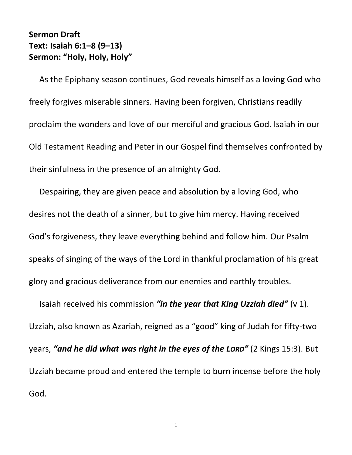## **Sermon Draft Text: Isaiah 6:1–8 (9–13) Sermon: "Holy, Holy, Holy"**

As the Epiphany season continues, God reveals himself as a loving God who freely forgives miserable sinners. Having been forgiven, Christians readily proclaim the wonders and love of our merciful and gracious God. Isaiah in our Old Testament Reading and Peter in our Gospel find themselves confronted by their sinfulness in the presence of an almighty God.

Despairing, they are given peace and absolution by a loving God, who desires not the death of a sinner, but to give him mercy. Having received God's forgiveness, they leave everything behind and follow him. Our Psalm speaks of singing of the ways of the Lord in thankful proclamation of his great glory and gracious deliverance from our enemies and earthly troubles.

Isaiah received his commission *"in the year that King Uzziah died"* (v 1). Uzziah, also known as Azariah, reigned as a "good" king of Judah for fifty-two years, *"and he did what was right in the eyes of the LORD"* (2 Kings 15:3). But Uzziah became proud and entered the temple to burn incense before the holy God.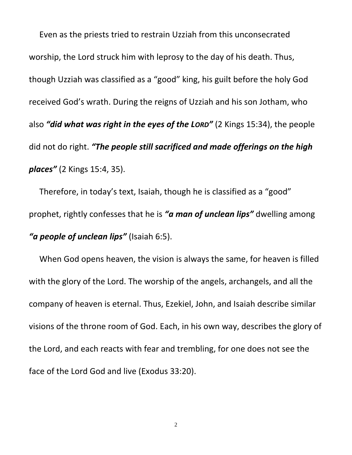Even as the priests tried to restrain Uzziah from this unconsecrated worship, the Lord struck him with leprosy to the day of his death. Thus, though Uzziah was classified as a "good" king, his guilt before the holy God received God's wrath. During the reigns of Uzziah and his son Jotham, who also *"did what was right in the eyes of the LORD"* (2 Kings 15:34), the people did not do right. *"The people still sacrificed and made offerings on the high places"* (2 Kings 15:4, 35).

Therefore, in today's text, Isaiah, though he is classified as a "good" prophet, rightly confesses that he is *"a man of unclean lips"* dwelling among *"a people of unclean lips"* (Isaiah 6:5).

When God opens heaven, the vision is always the same, for heaven is filled with the glory of the Lord. The worship of the angels, archangels, and all the company of heaven is eternal. Thus, Ezekiel, John, and Isaiah describe similar visions of the throne room of God. Each, in his own way, describes the glory of the Lord, and each reacts with fear and trembling, for one does not see the face of the Lord God and live (Exodus 33:20).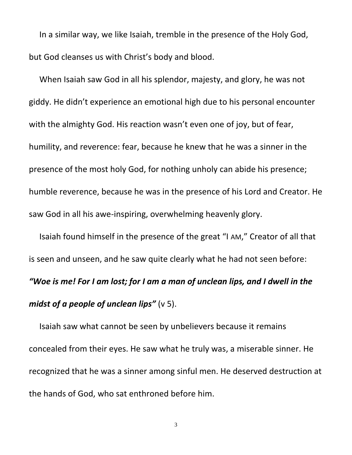In a similar way, we like Isaiah, tremble in the presence of the Holy God, but God cleanses us with Christ's body and blood.

When Isaiah saw God in all his splendor, majesty, and glory, he was not giddy. He didn't experience an emotional high due to his personal encounter with the almighty God. His reaction wasn't even one of joy, but of fear, humility, and reverence: fear, because he knew that he was a sinner in the presence of the most holy God, for nothing unholy can abide his presence; humble reverence, because he was in the presence of his Lord and Creator. He saw God in all his awe-inspiring, overwhelming heavenly glory.

Isaiah found himself in the presence of the great "I AM," Creator of all that is seen and unseen, and he saw quite clearly what he had not seen before: *"Woe is me! For I am lost; for I am a man of unclean lips, and I dwell in the midst of a people of unclean lips"* ( $\vee$  5).

Isaiah saw what cannot be seen by unbelievers because it remains concealed from their eyes. He saw what he truly was, a miserable sinner. He recognized that he was a sinner among sinful men. He deserved destruction at the hands of God, who sat enthroned before him.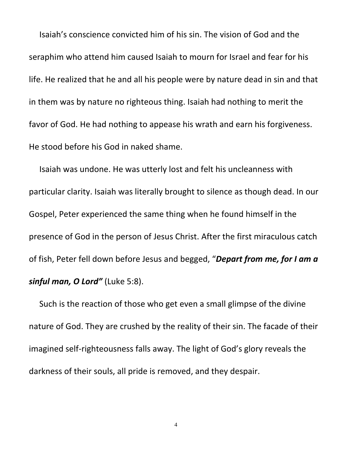Isaiah's conscience convicted him of his sin. The vision of God and the seraphim who attend him caused Isaiah to mourn for Israel and fear for his life. He realized that he and all his people were by nature dead in sin and that in them was by nature no righteous thing. Isaiah had nothing to merit the favor of God. He had nothing to appease his wrath and earn his forgiveness. He stood before his God in naked shame.

Isaiah was undone. He was utterly lost and felt his uncleanness with particular clarity. Isaiah was literally brought to silence as though dead. In our Gospel, Peter experienced the same thing when he found himself in the presence of God in the person of Jesus Christ. After the first miraculous catch of fish, Peter fell down before Jesus and begged, "*Depart from me, for I am a sinful man, O Lord"* (Luke 5:8).

Such is the reaction of those who get even a small glimpse of the divine nature of God. They are crushed by the reality of their sin. The facade of their imagined self-righteousness falls away. The light of God's glory reveals the darkness of their souls, all pride is removed, and they despair.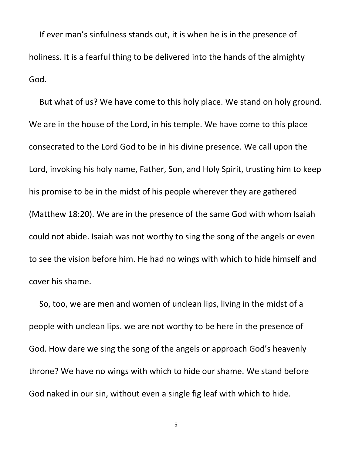If ever man's sinfulness stands out, it is when he is in the presence of holiness. It is a fearful thing to be delivered into the hands of the almighty God.

But what of us? We have come to this holy place. We stand on holy ground. We are in the house of the Lord, in his temple. We have come to this place consecrated to the Lord God to be in his divine presence. We call upon the Lord, invoking his holy name, Father, Son, and Holy Spirit, trusting him to keep his promise to be in the midst of his people wherever they are gathered (Matthew 18:20). We are in the presence of the same God with whom Isaiah could not abide. Isaiah was not worthy to sing the song of the angels or even to see the vision before him. He had no wings with which to hide himself and cover his shame.

So, too, we are men and women of unclean lips, living in the midst of a people with unclean lips. we are not worthy to be here in the presence of God. How dare we sing the song of the angels or approach God's heavenly throne? We have no wings with which to hide our shame. We stand before God naked in our sin, without even a single fig leaf with which to hide.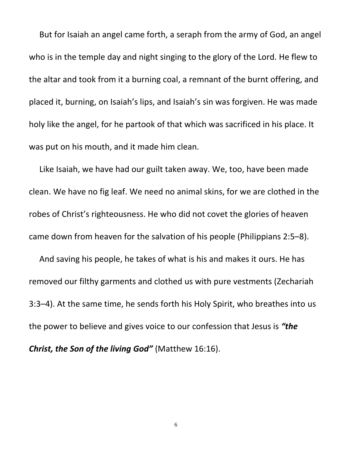But for Isaiah an angel came forth, a seraph from the army of God, an angel who is in the temple day and night singing to the glory of the Lord. He flew to the altar and took from it a burning coal, a remnant of the burnt offering, and placed it, burning, on Isaiah's lips, and Isaiah's sin was forgiven. He was made holy like the angel, for he partook of that which was sacrificed in his place. It was put on his mouth, and it made him clean.

Like Isaiah, we have had our guilt taken away. We, too, have been made clean. We have no fig leaf. We need no animal skins, for we are clothed in the robes of Christ's righteousness. He who did not covet the glories of heaven came down from heaven for the salvation of his people (Philippians 2:5–8).

And saving his people, he takes of what is his and makes it ours. He has removed our filthy garments and clothed us with pure vestments (Zechariah 3:3–4). At the same time, he sends forth his Holy Spirit, who breathes into us the power to believe and gives voice to our confession that Jesus is *"the Christ, the Son of the living God"* (Matthew 16:16).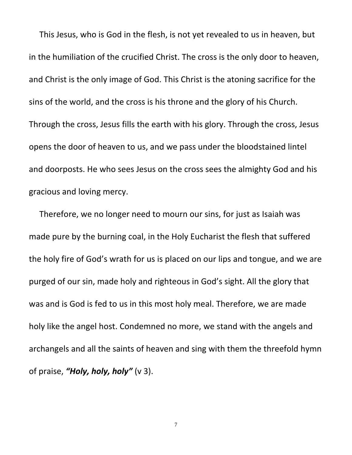This Jesus, who is God in the flesh, is not yet revealed to us in heaven, but in the humiliation of the crucified Christ. The cross is the only door to heaven, and Christ is the only image of God. This Christ is the atoning sacrifice for the sins of the world, and the cross is his throne and the glory of his Church. Through the cross, Jesus fills the earth with his glory. Through the cross, Jesus opens the door of heaven to us, and we pass under the bloodstained lintel and doorposts. He who sees Jesus on the cross sees the almighty God and his gracious and loving mercy.

Therefore, we no longer need to mourn our sins, for just as Isaiah was made pure by the burning coal, in the Holy Eucharist the flesh that suffered the holy fire of God's wrath for us is placed on our lips and tongue, and we are purged of our sin, made holy and righteous in God's sight. All the glory that was and is God is fed to us in this most holy meal. Therefore, we are made holy like the angel host. Condemned no more, we stand with the angels and archangels and all the saints of heaven and sing with them the threefold hymn of praise, *"Holy, holy, holy"* (v 3).